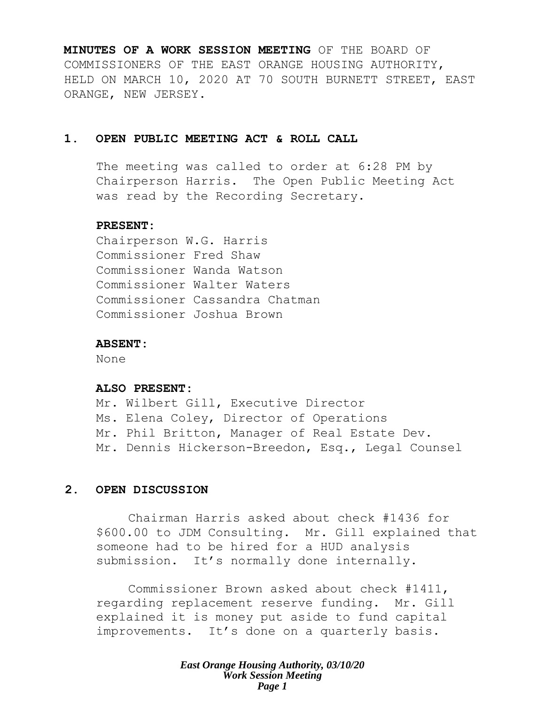**MINUTES OF A WORK SESSION MEETING** OF THE BOARD OF COMMISSIONERS OF THE EAST ORANGE HOUSING AUTHORITY, HELD ON MARCH 10, 2020 AT 70 SOUTH BURNETT STREET, EAST ORANGE, NEW JERSEY.

# **1. OPEN PUBLIC MEETING ACT & ROLL CALL**

The meeting was called to order at 6:28 PM by Chairperson Harris. The Open Public Meeting Act was read by the Recording Secretary.

#### **PRESENT:**

Chairperson W.G. Harris Commissioner Fred Shaw Commissioner Wanda Watson Commissioner Walter Waters Commissioner Cassandra Chatman Commissioner Joshua Brown

## **ABSENT:**

None

#### **ALSO PRESENT:**

Mr. Wilbert Gill, Executive Director Ms. Elena Coley, Director of Operations Mr. Phil Britton, Manager of Real Estate Dev. Mr. Dennis Hickerson-Breedon, Esq., Legal Counsel

# **2. OPEN DISCUSSION**

Chairman Harris asked about check #1436 for \$600.00 to JDM Consulting. Mr. Gill explained that someone had to be hired for a HUD analysis submission. It's normally done internally.

Commissioner Brown asked about check #1411, regarding replacement reserve funding. Mr. Gill explained it is money put aside to fund capital improvements. It's done on a quarterly basis.

> *East Orange Housing Authority, 03/10/20 Work Session Meeting Page 1*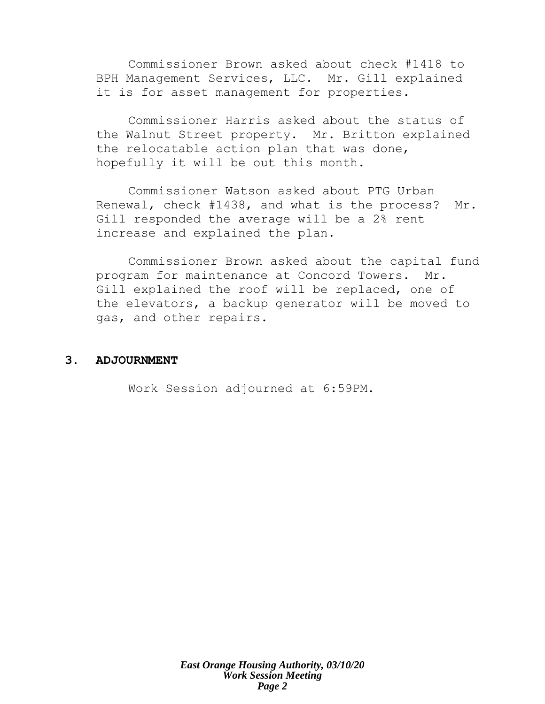Commissioner Brown asked about check #1418 to BPH Management Services, LLC. Mr. Gill explained it is for asset management for properties.

Commissioner Harris asked about the status of the Walnut Street property. Mr. Britton explained the relocatable action plan that was done, hopefully it will be out this month.

Commissioner Watson asked about PTG Urban Renewal, check #1438, and what is the process? Mr. Gill responded the average will be a 2% rent increase and explained the plan.

Commissioner Brown asked about the capital fund program for maintenance at Concord Towers. Mr. Gill explained the roof will be replaced, one of the elevators, a backup generator will be moved to gas, and other repairs.

# **3. ADJOURNMENT**

Work Session adjourned at 6:59PM.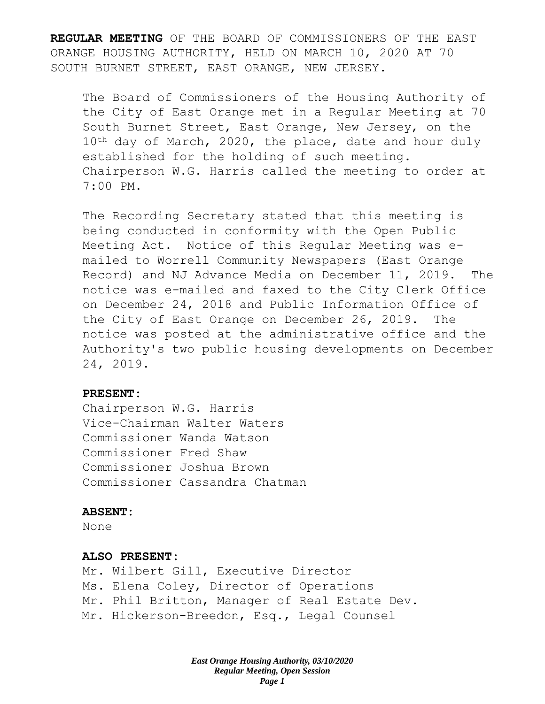**REGULAR MEETING** OF THE BOARD OF COMMISSIONERS OF THE EAST ORANGE HOUSING AUTHORITY, HELD ON MARCH 10, 2020 AT 70 SOUTH BURNET STREET, EAST ORANGE, NEW JERSEY.

The Board of Commissioners of the Housing Authority of the City of East Orange met in a Regular Meeting at 70 South Burnet Street, East Orange, New Jersey, on the 10<sup>th</sup> day of March, 2020, the place, date and hour duly established for the holding of such meeting. Chairperson W.G. Harris called the meeting to order at 7:00 PM.

The Recording Secretary stated that this meeting is being conducted in conformity with the Open Public Meeting Act. Notice of this Regular Meeting was emailed to Worrell Community Newspapers (East Orange Record) and NJ Advance Media on December 11, 2019. The notice was e-mailed and faxed to the City Clerk Office on December 24, 2018 and Public Information Office of the City of East Orange on December 26, 2019. The notice was posted at the administrative office and the Authority's two public housing developments on December 24, 2019.

#### **PRESENT:**

Chairperson W.G. Harris Vice-Chairman Walter Waters Commissioner Wanda Watson Commissioner Fred Shaw Commissioner Joshua Brown Commissioner Cassandra Chatman

#### **ABSENT:**

None

#### **ALSO PRESENT:**

Mr. Wilbert Gill, Executive Director Ms. Elena Coley, Director of Operations Mr. Phil Britton, Manager of Real Estate Dev. Mr. Hickerson-Breedon, Esq., Legal Counsel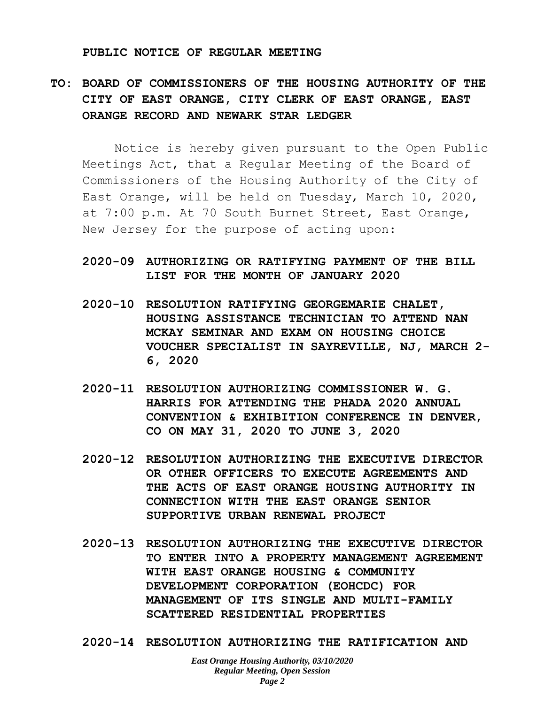#### **PUBLIC NOTICE OF REGULAR MEETING**

# **TO: BOARD OF COMMISSIONERS OF THE HOUSING AUTHORITY OF THE CITY OF EAST ORANGE, CITY CLERK OF EAST ORANGE, EAST ORANGE RECORD AND NEWARK STAR LEDGER**

Notice is hereby given pursuant to the Open Public Meetings Act, that a Regular Meeting of the Board of Commissioners of the Housing Authority of the City of East Orange, will be held on Tuesday, March 10, 2020, at 7:00 p.m. At 70 South Burnet Street, East Orange, New Jersey for the purpose of acting upon:

# **2020-09 AUTHORIZING OR RATIFYING PAYMENT OF THE BILL LIST FOR THE MONTH OF JANUARY 2020**

- **2020-10 RESOLUTION RATIFYING GEORGEMARIE CHALET, HOUSING ASSISTANCE TECHNICIAN TO ATTEND NAN MCKAY SEMINAR AND EXAM ON HOUSING CHOICE VOUCHER SPECIALIST IN SAYREVILLE, NJ, MARCH 2- 6, 2020**
- **2020-11 RESOLUTION AUTHORIZING COMMISSIONER W. G. HARRIS FOR ATTENDING THE PHADA 2020 ANNUAL CONVENTION & EXHIBITION CONFERENCE IN DENVER, CO ON MAY 31, 2020 TO JUNE 3, 2020**
- **2020-12 RESOLUTION AUTHORIZING THE EXECUTIVE DIRECTOR OR OTHER OFFICERS TO EXECUTE AGREEMENTS AND THE ACTS OF EAST ORANGE HOUSING AUTHORITY IN CONNECTION WITH THE EAST ORANGE SENIOR SUPPORTIVE URBAN RENEWAL PROJECT**
- **2020-13 RESOLUTION AUTHORIZING THE EXECUTIVE DIRECTOR TO ENTER INTO A PROPERTY MANAGEMENT AGREEMENT WITH EAST ORANGE HOUSING & COMMUNITY DEVELOPMENT CORPORATION (EOHCDC) FOR MANAGEMENT OF ITS SINGLE AND MULTI-FAMILY SCATTERED RESIDENTIAL PROPERTIES**
- **2020-14 RESOLUTION AUTHORIZING THE RATIFICATION AND**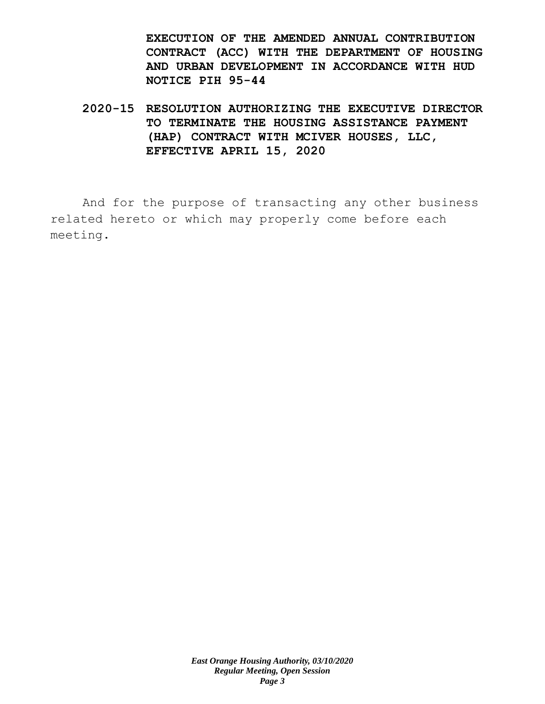**EXECUTION OF THE AMENDED ANNUAL CONTRIBUTION CONTRACT (ACC) WITH THE DEPARTMENT OF HOUSING AND URBAN DEVELOPMENT IN ACCORDANCE WITH HUD NOTICE PIH 95-44**

**2020-15 RESOLUTION AUTHORIZING THE EXECUTIVE DIRECTOR TO TERMINATE THE HOUSING ASSISTANCE PAYMENT (HAP) CONTRACT WITH MCIVER HOUSES, LLC, EFFECTIVE APRIL 15, 2020**

And for the purpose of transacting any other business related hereto or which may properly come before each meeting.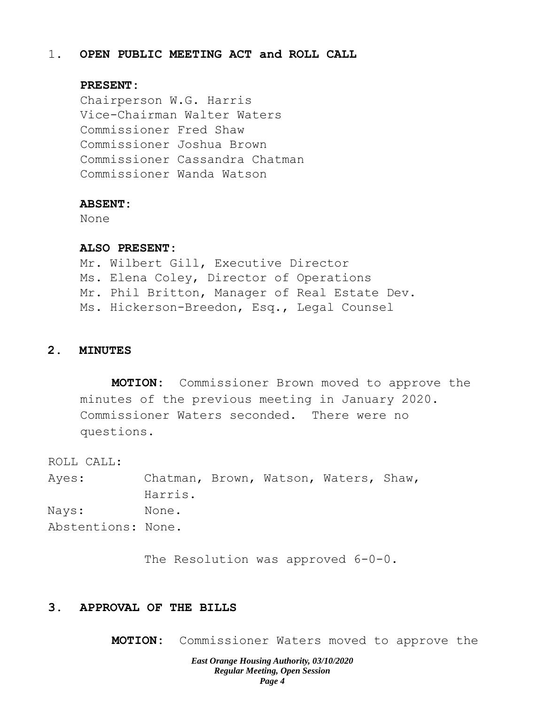# 1. **OPEN PUBLIC MEETING ACT and ROLL CALL**

## **PRESENT:**

Chairperson W.G. Harris Vice-Chairman Walter Waters Commissioner Fred Shaw Commissioner Joshua Brown Commissioner Cassandra Chatman Commissioner Wanda Watson

#### **ABSENT:**

None

# **ALSO PRESENT:**

Mr. Wilbert Gill, Executive Director Ms. Elena Coley, Director of Operations Mr. Phil Britton, Manager of Real Estate Dev. Ms. Hickerson-Breedon, Esq., Legal Counsel

# **2. MINUTES**

**MOTION:** Commissioner Brown moved to approve the minutes of the previous meeting in January 2020. Commissioner Waters seconded. There were no questions.

ROLL CALL:

Ayes: Chatman, Brown, Watson, Waters, Shaw, Harris. Nays: None. Abstentions: None.

The Resolution was approved  $6-0-0$ .

# **3. APPROVAL OF THE BILLS**

**MOTION:** Commissioner Waters moved to approve the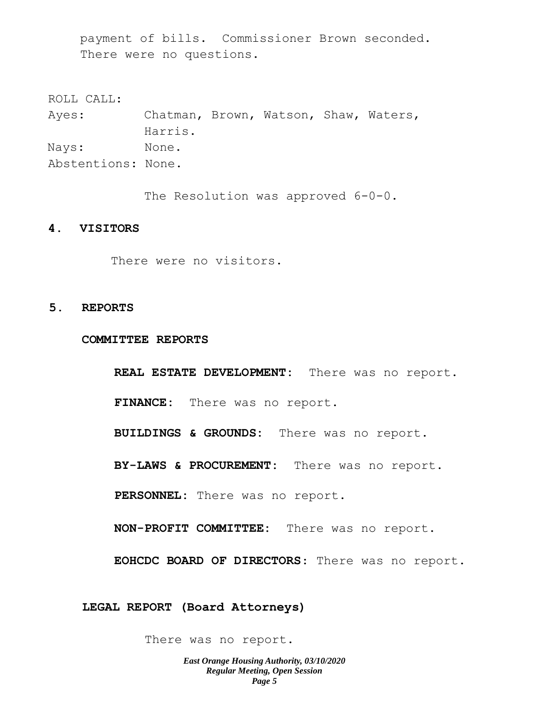payment of bills. Commissioner Brown seconded. There were no questions.

ROLL CALL: Ayes: Chatman, Brown, Watson, Shaw, Waters, Harris. Nays: None. Abstentions: None.

The Resolution was approved  $6-0-0$ .

#### **4. VISITORS**

There were no visitors.

#### **5. REPORTS**

#### **COMMITTEE REPORTS**

**REAL ESTATE DEVELOPMENT:** There was no report. **FINANCE:** There was no report. **BUILDINGS & GROUNDS:** There was no report. **BY-LAWS & PROCUREMENT:** There was no report. **PERSONNEL:** There was no report. **NON-PROFIT COMMITTEE:** There was no report. **EOHCDC BOARD OF DIRECTORS**: There was no report.

**LEGAL REPORT (Board Attorneys)**

There was no report.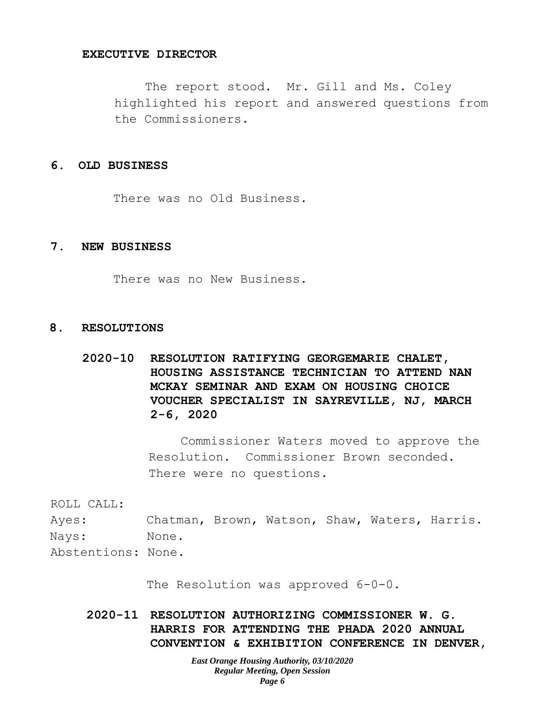#### **EXECUTIVE DIRECTOR**

The report stood. Mr. Gill and Ms. Coley highlighted his report and answered questions from the Commissioners.

#### **6. OLD BUSINESS**

There was no Old Business.

### **7. NEW BUSINESS**

There was no New Business.

## **8. RESOLUTIONS**

**2020-10 RESOLUTION RATIFYING GEORGEMARIE CHALET, HOUSING ASSISTANCE TECHNICIAN TO ATTEND NAN MCKAY SEMINAR AND EXAM ON HOUSING CHOICE VOUCHER SPECIALIST IN SAYREVILLE, NJ, MARCH 2-6, 2020**

> Commissioner Waters moved to approve the Resolution. Commissioner Brown seconded. There were no questions.

ROLL CALL:

Ayes: Chatman, Brown, Watson, Shaw, Waters, Harris. Nays: None.

Abstentions: None.

The Resolution was approved 6-0-0.

**2020-11 RESOLUTION AUTHORIZING COMMISSIONER W. G. HARRIS FOR ATTENDING THE PHADA 2020 ANNUAL CONVENTION & EXHIBITION CONFERENCE IN DENVER,**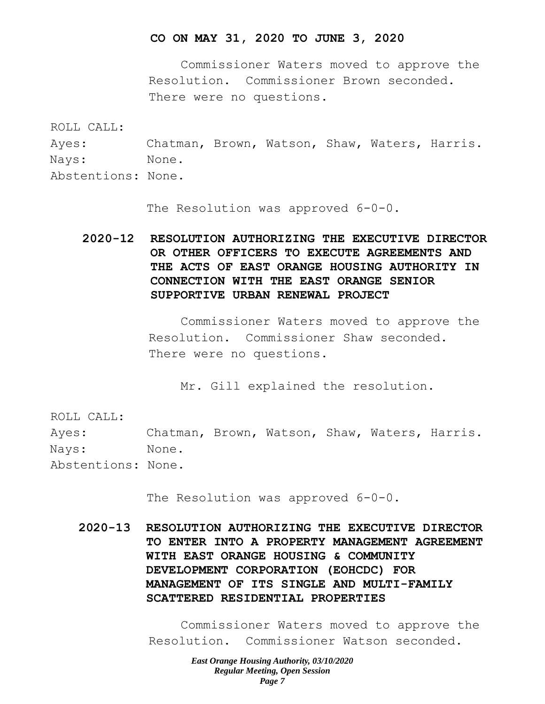#### **CO ON MAY 31, 2020 TO JUNE 3, 2020**

Commissioner Waters moved to approve the Resolution. Commissioner Brown seconded. There were no questions.

ROLL CALL:

Ayes: Chatman, Brown, Watson, Shaw, Waters, Harris. Nays: None. Abstentions: None.

The Resolution was approved 6-0-0.

**2020-12 RESOLUTION AUTHORIZING THE EXECUTIVE DIRECTOR OR OTHER OFFICERS TO EXECUTE AGREEMENTS AND THE ACTS OF EAST ORANGE HOUSING AUTHORITY IN CONNECTION WITH THE EAST ORANGE SENIOR SUPPORTIVE URBAN RENEWAL PROJECT**

> Commissioner Waters moved to approve the Resolution. Commissioner Shaw seconded. There were no questions.

Mr. Gill explained the resolution.

ROLL CALL:

Ayes: Chatman, Brown, Watson, Shaw, Waters, Harris. Nays: None.

Abstentions: None.

The Resolution was approved 6-0-0.

**2020-13 RESOLUTION AUTHORIZING THE EXECUTIVE DIRECTOR TO ENTER INTO A PROPERTY MANAGEMENT AGREEMENT WITH EAST ORANGE HOUSING & COMMUNITY DEVELOPMENT CORPORATION (EOHCDC) FOR MANAGEMENT OF ITS SINGLE AND MULTI-FAMILY SCATTERED RESIDENTIAL PROPERTIES**

> Commissioner Waters moved to approve the Resolution. Commissioner Watson seconded.

> > *East Orange Housing Authority, 03/10/2020 Regular Meeting, Open Session Page 7*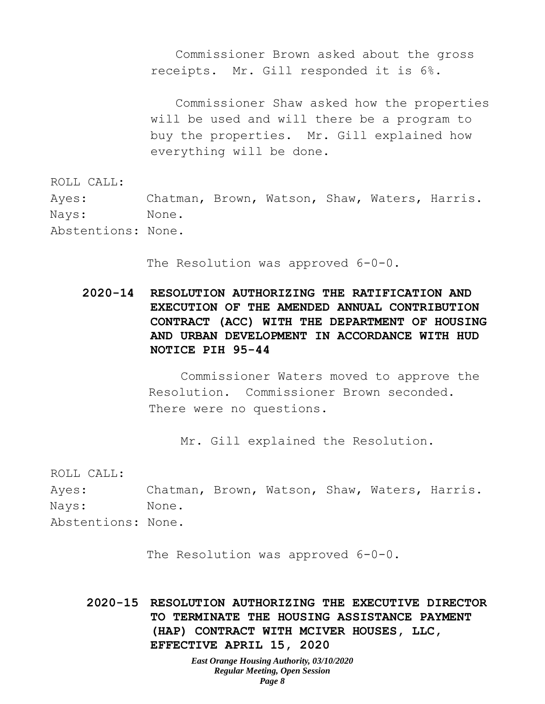Commissioner Brown asked about the gross receipts. Mr. Gill responded it is 6%.

Commissioner Shaw asked how the properties will be used and will there be a program to buy the properties. Mr. Gill explained how everything will be done.

ROLL CALL:

Ayes: Chatman, Brown, Watson, Shaw, Waters, Harris. Nays: None. Abstentions: None.

The Resolution was approved 6-0-0.

**2020-14 RESOLUTION AUTHORIZING THE RATIFICATION AND EXECUTION OF THE AMENDED ANNUAL CONTRIBUTION CONTRACT (ACC) WITH THE DEPARTMENT OF HOUSING AND URBAN DEVELOPMENT IN ACCORDANCE WITH HUD NOTICE PIH 95-44**

> Commissioner Waters moved to approve the Resolution. Commissioner Brown seconded. There were no questions.

Mr. Gill explained the Resolution.

ROLL CALL:

Ayes: Chatman, Brown, Watson, Shaw, Waters, Harris. Nays: None. Abstentions: None.

The Resolution was approved  $6-0-0$ .

**2020-15 RESOLUTION AUTHORIZING THE EXECUTIVE DIRECTOR TO TERMINATE THE HOUSING ASSISTANCE PAYMENT (HAP) CONTRACT WITH MCIVER HOUSES, LLC, EFFECTIVE APRIL 15, 2020**